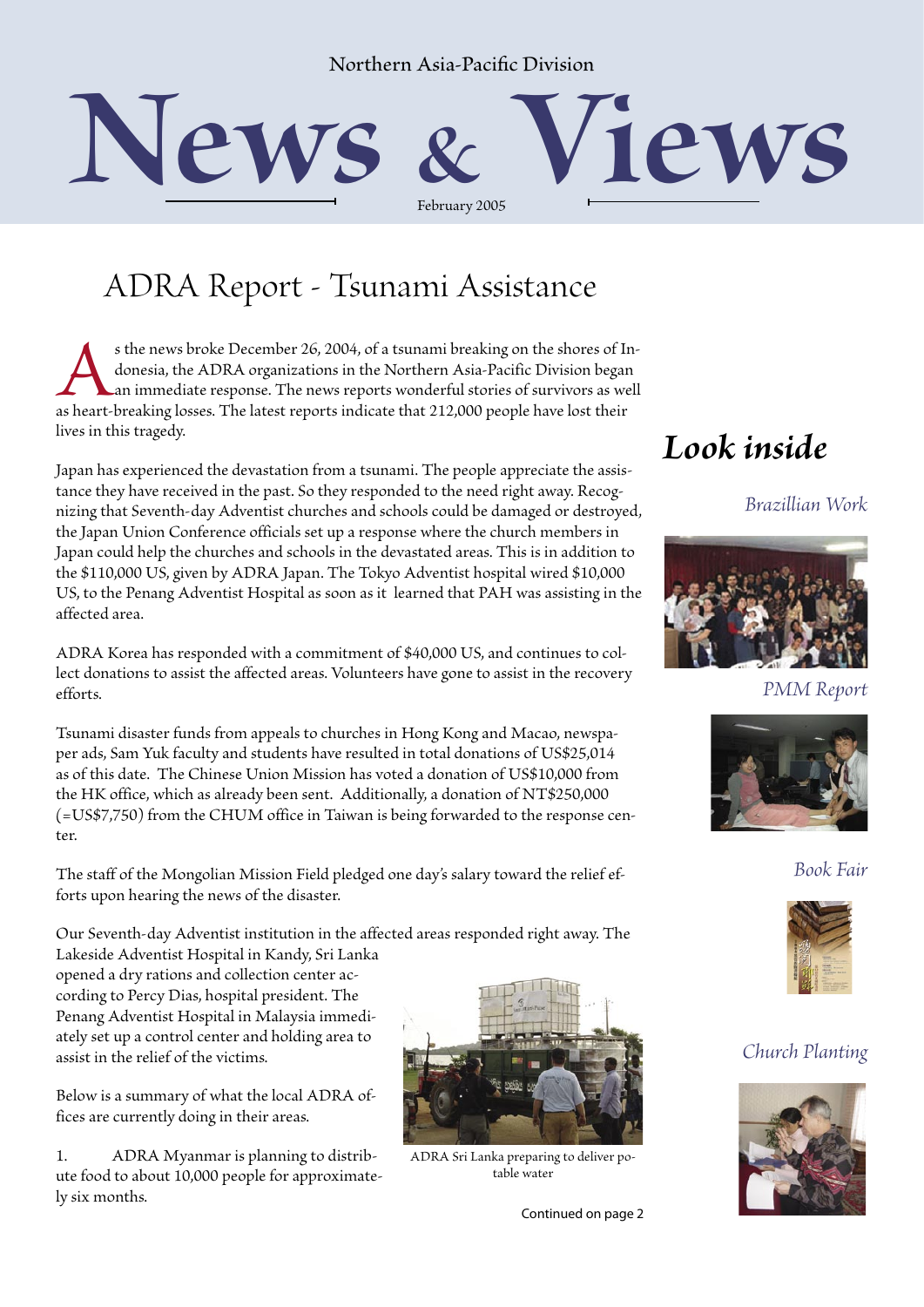#### Northern Asia-Pacific Division



### ADRA Report - Tsunami Assistance

s the news broke December 26, 2004, of a tsunami breaking on the shores of Indonesia, the ADRA organizations in the Northern Asia-Pacific Division began an immediate response. The news reports wonderful stories of survivor donesia, the ADRA organizations in the Northern Asia-Pacific Division began an immediate response. The news reports wonderful stories of survivors as well lives in this tragedy.

Japan has experienced the devastation from a tsunami. The people appreciate the assistance they have received in the past. So they responded to the need right away. Recognizing that Seventh-day Adventist churches and schools could be damaged or destroyed, the Japan Union Conference officials set up a response where the church members in Japan could help the churches and schools in the devastated areas. This is in addition to the \$110,000 US, given by ADRA Japan. The Tokyo Adventist hospital wired \$10,000 US, to the Penang Adventist Hospital as soon as it learned that PAH was assisting in the affected area.

ADRA Korea has responded with a commitment of \$40,000 US, and continues to collect donations to assist the affected areas. Volunteers have gone to assist in the recovery efforts.

Tsunami disaster funds from appeals to churches in Hong Kong and Macao, newspaper ads, Sam Yuk faculty and students have resulted in total donations of US\$25,014 as of this date. The Chinese Union Mission has voted a donation of US\$10,000 from the HK office, which as already been sent. Additionally, a donation of NT\$250,000 (=US\$7,750) from the CHUM office in Taiwan is being forwarded to the response center.

The staff of the Mongolian Mission Field pledged one day's salary toward the relief efforts upon hearing the news of the disaster.

Our Seventh-day Adventist institution in the affected areas responded right away. The

Lakeside Adventist Hospital in Kandy, Sri Lanka opened a dry rations and collection center according to Percy Dias, hospital president. The Penang Adventist Hospital in Malaysia immediately set up a control center and holding area to assist in the relief of the victims.

Below is a summary of what the local ADRA offices are currently doing in their areas.

1. ADRA Myanmar is planning to distribute food to about 10,000 people for approximately six months.



ADRA Sri Lanka preparing to deliver potable water

Continued on page 2

#### *Look inside*

*Brazillian Work*



*PMM Report*



*Book Fair*



#### *Church Planting*

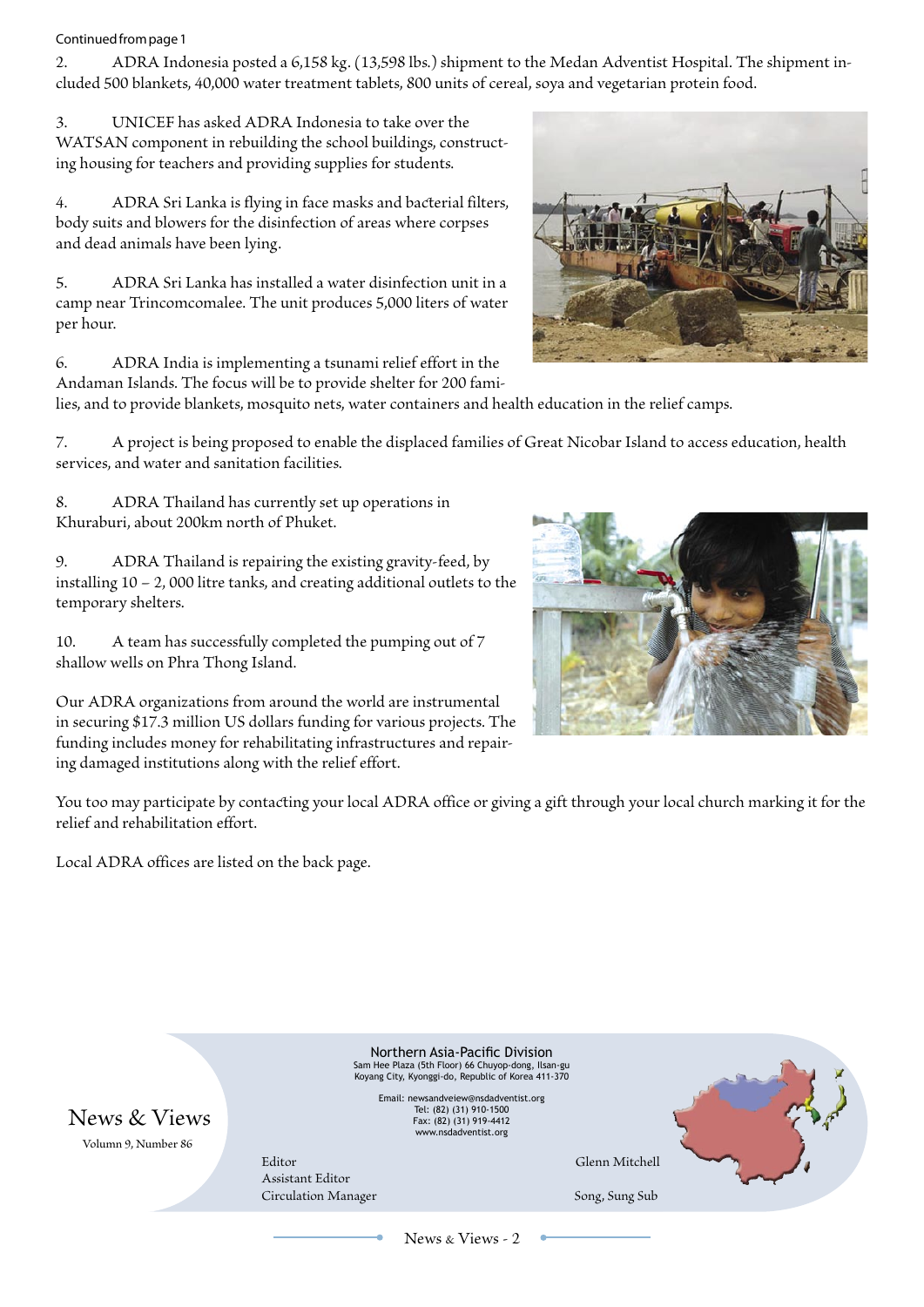#### Continued from page 1

2. ADRA Indonesia posted a 6,158 kg. (13,598 lbs.) shipment to the Medan Adventist Hospital. The shipment included 500 blankets, 40,000 water treatment tablets, 800 units of cereal, soya and vegetarian protein food.

3. UNICEF has asked ADRA Indonesia to take over the WATSAN component in rebuilding the school buildings, constructing housing for teachers and providing supplies for students.

4. ADRA Sri Lanka is flying in face masks and bacterial filters, body suits and blowers for the disinfection of areas where corpses and dead animals have been lying.

5. ADRA Sri Lanka has installed a water disinfection unit in a camp near Trincomcomalee. The unit produces 5,000 liters of water per hour.

6. ADRA India is implementing a tsunami relief effort in the Andaman Islands. The focus will be to provide shelter for 200 fami-



7. A project is being proposed to enable the displaced families of Great Nicobar Island to access education, health services, and water and sanitation facilities.

8. ADRA Thailand has currently set up operations in Khuraburi, about 200km north of Phuket.

9. ADRA Thailand is repairing the existing gravity-feed, by installing 10 – 2, 000 litre tanks, and creating additional outlets to the temporary shelters.

10. A team has successfully completed the pumping out of 7 shallow wells on Phra Thong Island.

Our ADRA organizations from around the world are instrumental in securing \$17.3 million US dollars funding for various projects. The funding includes money for rehabilitating infrastructures and repairing damaged institutions along with the relief effort.



You too may participate by contacting your local ADRA office or giving a gift through your local church marking it for the relief and rehabilitation effort.

Local ADRA offices are listed on the back page.



News & Views - 2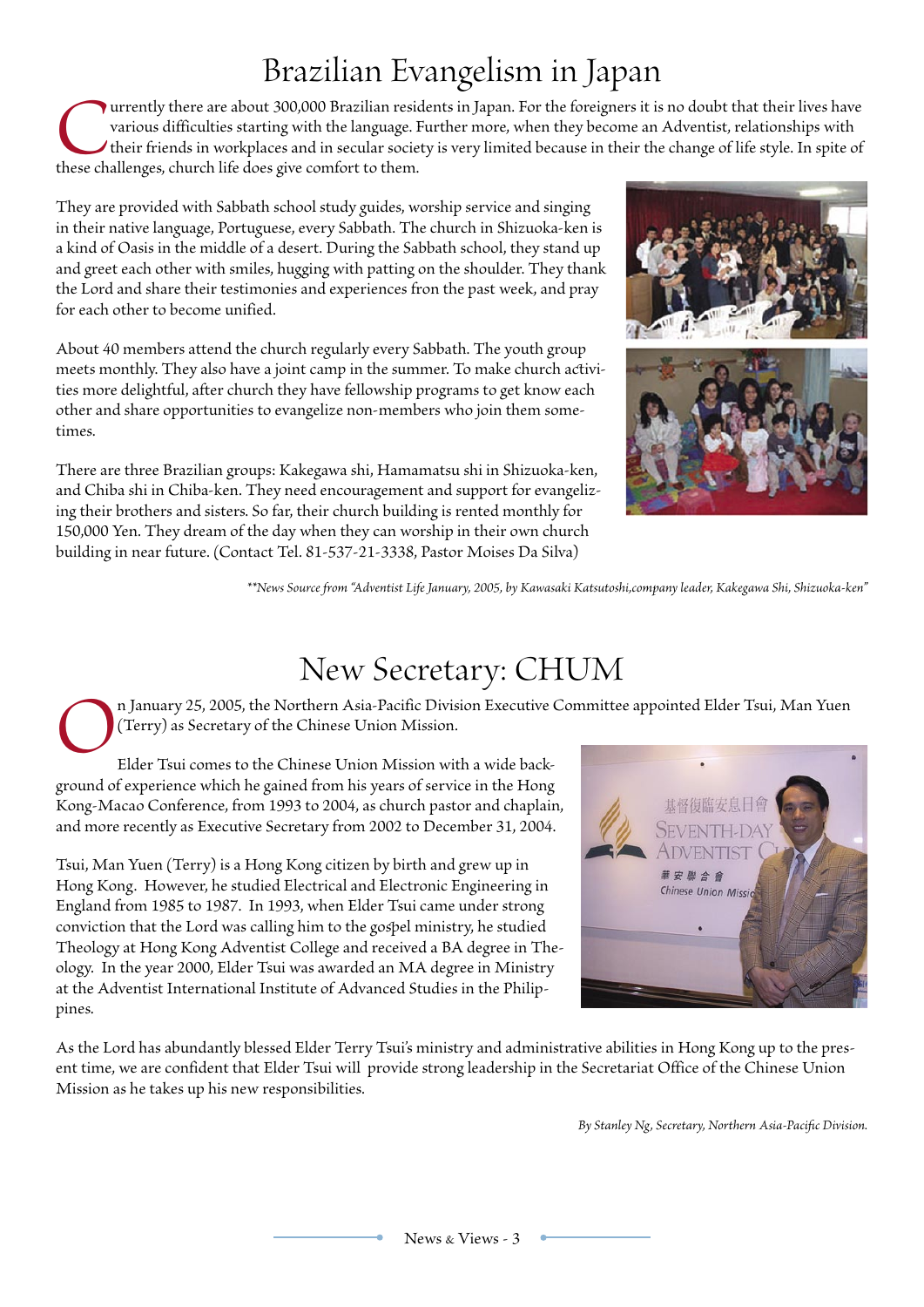## Brazilian Evangelism in Japan

 $\bullet$  urrently there are about 300,000 Brazilian residents in Japan. For the foreigners it is no doubt that their lives have various difficulties starting with the language. Further more, when they become an Adventist, relationships with their friends in workplaces and in secular society is very limited because in their the change of life style. In spite of these challenges, church life does give comfort to them.

They are provided with Sabbath school study guides, worship service and singing in their native language, Portuguese, every Sabath. The church in Shizuoka-ken is a kind of Oasis in the middle of a desert. During the Sabath school, they stand up and greet each other with smiles, hugging with patting on the shoulder. They thank the Lord and share their testimonies and experiences fron the past week, and pray for each other to become unified.

About 40 members attend the church regularly every Sabbath. The youth group meets monthly. They also have a joint camp in the summer. To make church activities more delightful, after church they have fellowship programs to get know each other and share opportunities to evangelize non-members who join them sometimes.

There are three Brazilian groups: Kakegawa shi, Hamamatsu shi in Shizuoka-ken, and Chiba shi in Chiba-ken. They need encouragement and support for evangelizing their brothers and sisters. So far, their church building is rented monthly for 150,000 Yen. They dream of the day when they can worship in their own church building in near future. (Contact Tel. 81-537-21-3338, Pastor Moises Da Silva)



*\*\*News Source from "Adventist Life January, 2005, by Kawasaki Katsutoshi,company leade, Kakegawa Shi, Shizuoka-ken"*

#### New Secretary: CHUM

n January 25, 2005, the Northern Asia-Pacific Division Executive Committee appointed Elder Tsui, Man Yuen (Terry) as Secretary of the Chinese Union Mission.

Elder Tsui comes to the Chinese Union Mission with a wide background of experience which he gained from his years of service in the Hong Kong-Macao Conference, from 1993 to 2004, as church pastor and chaplain, and more recently as Executive Secretary from 2002 to December 31, 2004.

Tsui, Man Yuen (Terry) is a Hong Kong citizen by birth and grew up in Hong Kong. However, he studied Electrical and Electronic Engineering in England from 1985 to 1987. In 1993, when Elder Tsui came under strong conviction that the Lord was calling him to the gospel ministry, he studied Theology at Hong Kong Adventist College and received a BA degree in Theology. In the year 2000, Elder Tsui was awarded an MA degree in Ministry at the Adventist International Institute of Advanced Studies in the Philippines.



As the Lord has abundantly lessed Elder Terry Tsui's ministry and administrative abilities in Hong Kong up to the present time, we are confident that Elder Tsui will provide strong leadership in the Secretariat Office of the Chinese Union Mission as he takes up his new responsibilities.

*By Stanley Ng, Secretary, Northern Asia-Pacific Division.*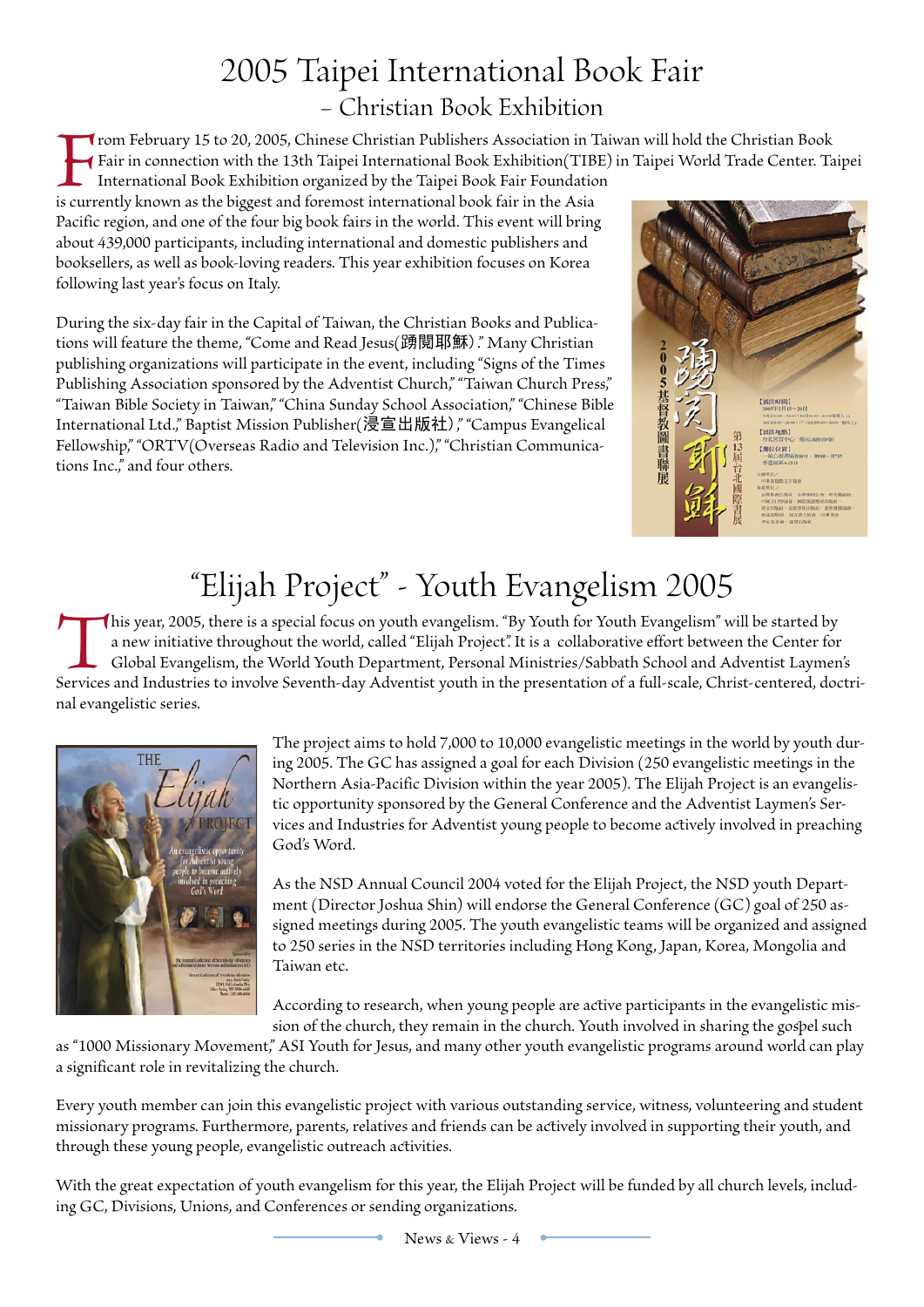#### 2005 Taipei International Book Fair – Christian Book Exhibition

From February 15 to 20, 2005, Chinese Christian Publishers Association in Taiwan will hold the Christian Book<br>Fair in connection with the 13th Taipei International Book Exhibition (TIBE) in Taipei World Trade Center. Ta<br>In Fair in connection with the 13th Taipei International Book Exhibition(TIBE) in Taipei World Trade Center. Taipei

International Book Exhibition organized by the Taipei Book Fair Foundation is currently known as the biggest and foremost international book fair in the Asia Pacific region, and one of the four big book fairs in the world. This event will bring about 439,000 participants, including international and domestic publishers and booksellers, as well as book-loving readers. This year exhibition focuses on Korea following last year's focus on Italy.

During the six-day fair in the Capital of Taiwan, the Christian Books and Publications will feature the theme, "Come and Read Jesus(踴閱耶穌)." Many Christian pulishing organizations will participate in the event, including "Signs of the Times Publishing Association sponsored by the Adventist Church," "Taiwan Church Press," "Taiwan Bile Society in Taiwan," "China Sunday School Association," "Chinese Bile International Ltd.," Baptist Mission Pulisher(浸宣出版社)," "Campus Evangelical Fellowship," "ORTV(Overseas Radio and Television Inc.)," "Christian Communications Inc.," and four others.



# "Elijah Project" - Youth Evangelism 2005

This year, 2005, there is a special focus on youth evangelism. "By Youth for Youth Evangelism" will be started by a new initiative throughout the world, called "Elijah Project". It is a collaborative effort between the Center for Global Evangelism, the World Youth Department, Personal Ministries/Sabbath School and Adventist Laymen's Services and Industries to involve Seventh-day Adventist youth in the presentation of a full-scale, Christ-centered, doctrinal evangelistic series.



The project aims to hold 7,000 to 10,000 evangelistic meetings in the world by youth during 2005. The GC has assigned a goal for each Division (250 evangelistic meetings in the Northern Asia-Pacific Division within the year 2005). The Elijah Project is an evangelistic opportunity sponsored by the General Conference and the Adventist Laymen's Services and Industries for Adventist young people to become actively involved in preaching God's Word.

As the NSD Annual Council 2004 voted for the Elijah Project, the NSD youth Department (Director Joshua Shin) will endorse the General Conference (GC) goal of 250 assigned meetings during 2005. The youth evangelistic teams will be organized and assigned to 250 series in the NSD territories including Hong Kong, Japan, Korea, Mongolia and Taiwan etc.

According to research, when young people are active participants in the evangelistic mission of the church, they remain in the church. Youth involved in sharing the gospel such

as "1000 Missionary Movement," ASI Youth for Jesus, and many other youth evangelistic programs around world can play a significant role in revitalizing the church.

Every youth member can join this evangelistic project with various outstanding service, witness, volunteering and student missionary programs. Furthermore, parents, relatives and friends can be actively involved in supporting their youth, and through these young people, evangelistic outreach activities.

With the great expectation of youth evangelism for this year, the Elijah Project will be funded by all church levels, including GC, Divisions, Unions, and Conferences or sending organizations.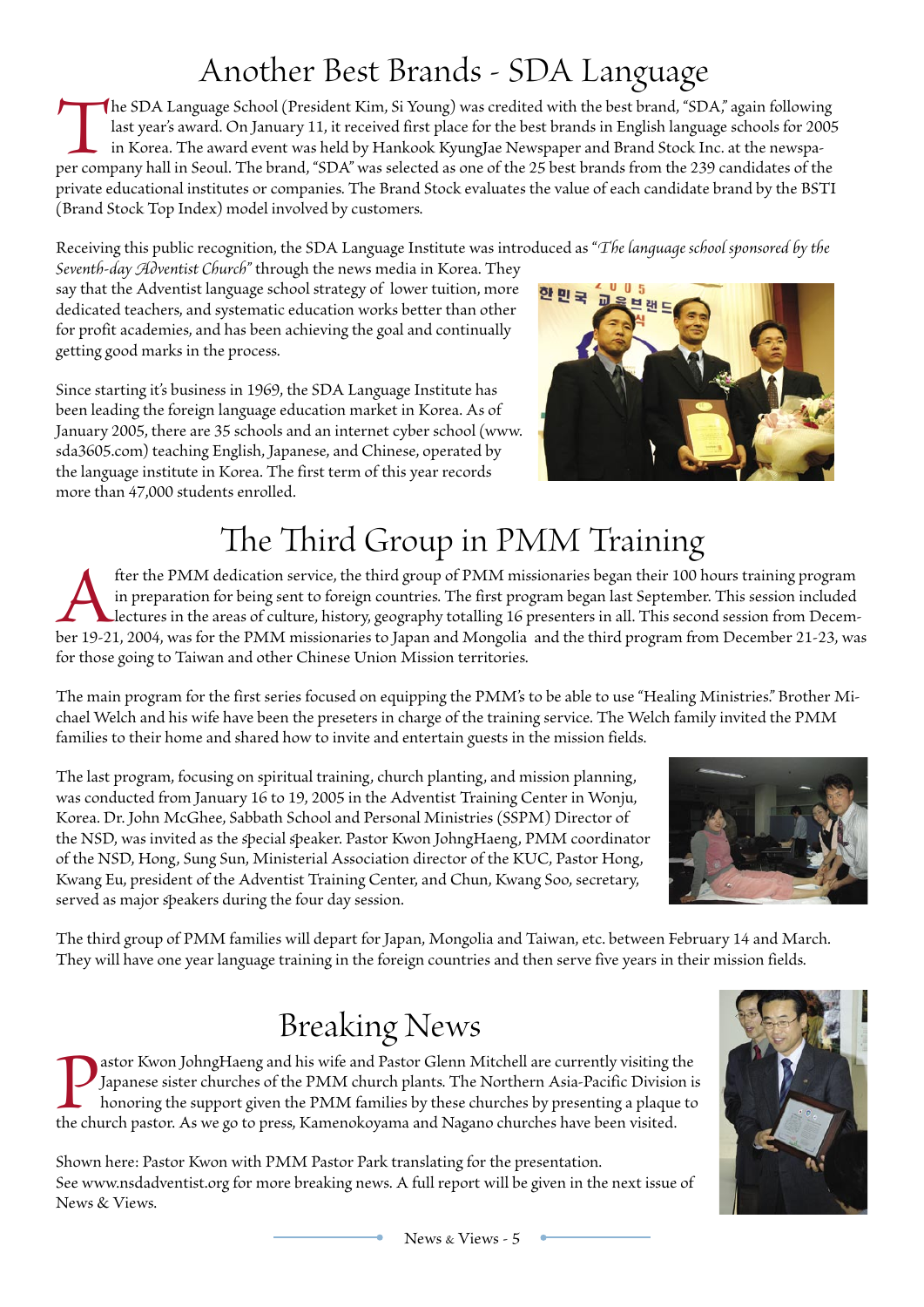## Another Best Brands - SDA Language

The SDA Language School (President Kim, Si Young) was credited with the best brand, "SDA," again following last year's award. On January 11, it received first place for the best brands in English language schools for 2005 in Korea. The award event was held by Hankook KyungJae Newspaper and Brand Stock Inc. at the newspaper company hall in Seoul. The brand, "SDA" was selected as one of the 25 best brands from the 239 candidates of the private educational institutes or companies. The Brand Stock evaluates the value of each candidate brand by the BSTI (Brand Stock Top Index) model involved by customers.

Receiving this pulic recognition, the SDA Language Institute was introduced as "*The language school sponsored by the* 

*Seventh-day Adventist Church*" through the news media in Korea. They say that the Adventist language school strategy of lower tuition, more dedicated teachers, and systematic education works better than other for profit academies, and has been achieving the goal and continually getting good marks in the process.

Since starting it's business in 1969, the SDA Language Institute has been leading the foreign language education market in Korea. As of January 2005, there are 35 schools and an internet cyber school (www. sda3605.com) teaching English, Japanese, and Chinese, operated by the language institute in Korea. The first term of this year records more than 47,000 students enrolled.



# The Third Group in PMM Training

fter the PMM dedication service, the third group of PMM missionaries began their 100 hours training program in preparation for being sent to foreign countries. The first program began last September. This session included in preparation for being sent to foreign countries. The first program began last September. This session included lectures in the areas of culture, history, geography totalling 16 presenters in all. This second session from Decemfor those going to Taiwan and other Chinese Union Mission territories.

The main program for the first series focused on equipping the PMM's to be able to use "Healing Ministries." Brother Michael Welch and his wife have been the preseters in charge of the training service. The Welch family invited the PMM families to their home and shared how to invite and entertain guests in the mission fields.

The last program, focusing on spiritual training, church planting, and mission planning, was conducted from January 16 to 19, 2005 in the Adventist Training Center in Wonju, Korea. Dr. John McGhee, Sabath School and Personal Ministries (SSPM) Director of the NSD, was invited as the special speaker. Pastor Kwon JohngHaeng, PMM coordinator of the NSD, Hong, Sung Sun, Ministerial Association director of the KUC, Pastor Hong, Kwang Eu, president of the Adventist Training Center, and Chun, Kwang Soo, secretary, served as major speakers during the four day session.



The third group of PMM families will depart for Japan, Mongolia and Taiwan, etc. between February 14 and March. They will have one year language training in the foreign countries and then serve five years in their mission fields.

## Breaking News

**The Mass Equipe Act of School Sydney State Constant** Japanese sister churches of the PMM church plants. The Northern Asia-Pacific Division is honoring the support given the PMM families by these churches by presenting a p Japanese sister churches of the PMM church plants. The Northern Asia-Pacific Division is honoring the support given the PMM families by these churches by presenting a plaque to

Shown here: Pastor Kwon with PMM Pastor Park translating for the presentation. See www.nsdadventist.org for more breaking news. A full report will be given in the next issue of News & Views.

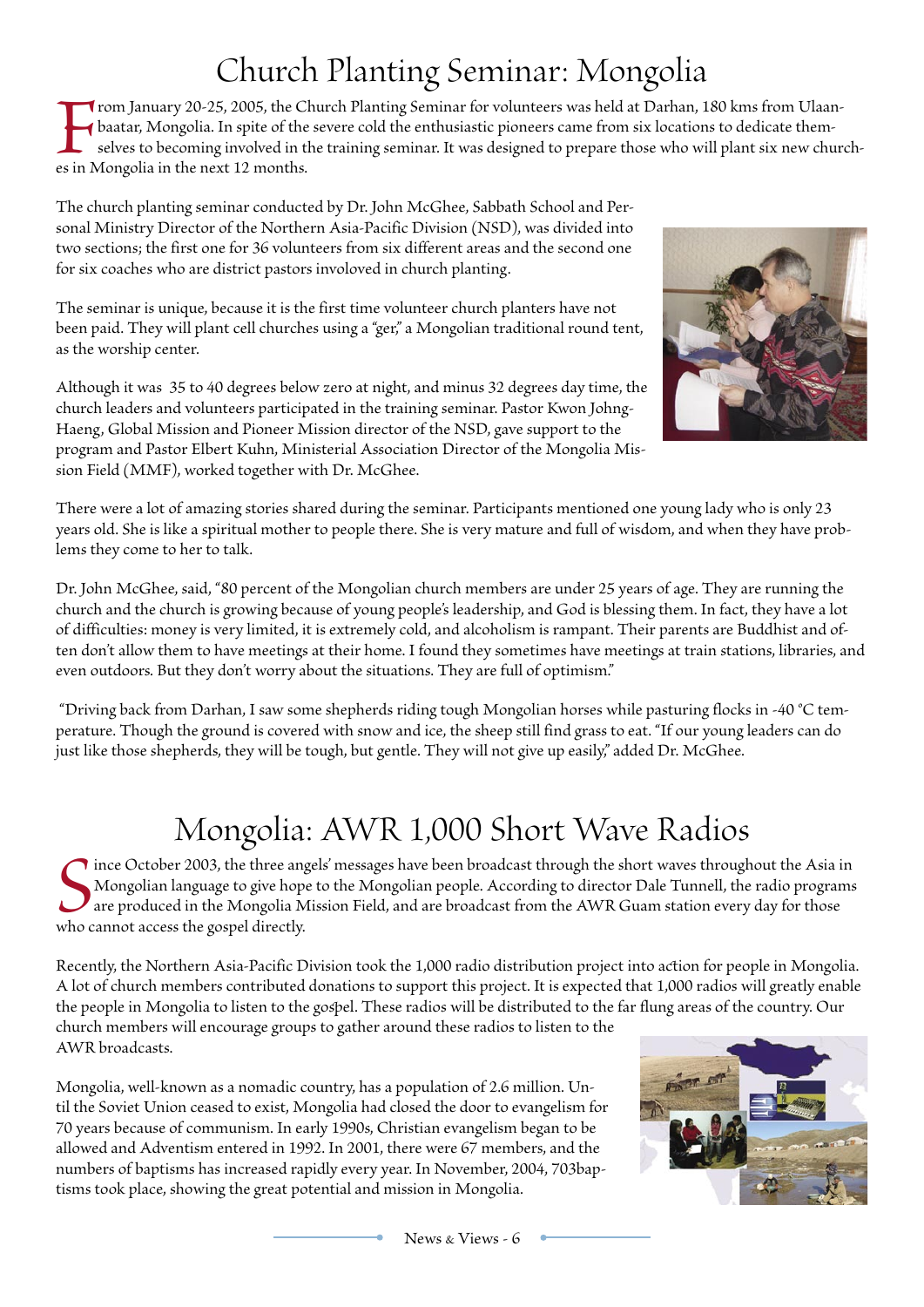## Church Planting Seminar: Mongolia

From January 20-25, 2005, the Church Planting Seminar for volunteers was held at Darhan, 180 kms from Ulaanbaatar, Mongolia. In spite of the severe cold the enthusiastic pioneers came from six locations to dedicate themselves to becoming involved in the training seminar. It was designed to prepare those who will plant six new churches in Mongolia in the next 12 months.

The church planting seminar conducted by Dr. John McGhee, Sabath School and Personal Ministry Director of the Northern Asia-Pacific Division (NSD), was divided into two sections; the first one for 36 volunteers from six different areas and the second one for six coaches who are district pastors involoved in church planting.

The seminar is unique, because it is the first time volunteer church planters have not been paid. They will plant cell churches using a "ger," a Mongolian traditional round tent, as the worship center.

Although it was 35 to 40 degrees below zero at night, and minus 32 degrees day time, the church leaders and volunteers participated in the training seminar. Pastor Kwon Johng-Haeng, Global Mission and Pioneer Mission director of the NSD, gave support to the program and Pastor Elbert Kuhn, Ministerial Association Director of the Mongolia Mission Field (MMF), worked together with Dr. McGhee.



There were a lot of amazing stories shared during the seminar. Participants mentioned one young lady who is only 23 years old. She is like a spiritual mother to people there. She is very mature and full of wisdom, and when they have problems they come to her to talk.

Dr. John McGhee, said, "80 percent of the Mongolian church members are under 25 years of age. They are running the church and the church is growing because of young people's leadership, and God is lessing them. In fact, they have a lot of difficulties: money is very limited, it is extremely cold, and alcoholism is rampant. Their parents are Buddhist and often don't allow them to have meetings at their home. I found they sometimes have meetings at train stations, libraries, and even outdoors. But they don't worry about the situations. They are full of optimism."

 "Driving back from Darhan, I saw some shepherds riding tough Mongolian horses while pasturing flocks in -40 °C temperature. Though the ground is covered with snow and ice, the sheep still find grass to eat. "If our young leaders can do just like those shepherds, they will be tough, but gentle. They will not give up easily," added Dr. McGhee.

## Mongolia: AWR 1,000 Short Wave Radios

Since October 2003, the three ang<br>Mongolian language to give hope<br>are produced in the Mongolia M<br>who cannot access the gospel directly. **I** ince October 2003, the three angels' messages have been broadcast through the short waves throughout the Asia in Mongolian language to give hope to the Mongolian people. According to director Dale Tunnell, the radio programs are produced in the Mongolia Mission Field, and are broadcast from the AWR Guam station every day for those

Recently, the Northern Asia-Pacific Division took the 1,000 radio distribution project into action for people in Mongolia. A lot of church members contributed donations to support this project. It is expected that 1,000 radios will greatly enale the people in Mongolia to listen to the gospel. These radios will be distributed to the far flung areas of the country. Our church members will encourage groups to gather around these radios to listen to the AWR broadcasts.

Mongolia, well-known as a nomadic country, has a population of 2.6 million. Until the Soviet Union ceased to exist, Mongolia had closed the door to evangelism for 70 years because of communism. In early 1990s, Christian evangelism began to be allowed and Adventism entered in 1992. In 2001, there were 67 members, and the numbers of baptisms has increased rapidly every year. In November, 2004, 703baptisms took place, showing the great potential and mission in Mongolia.

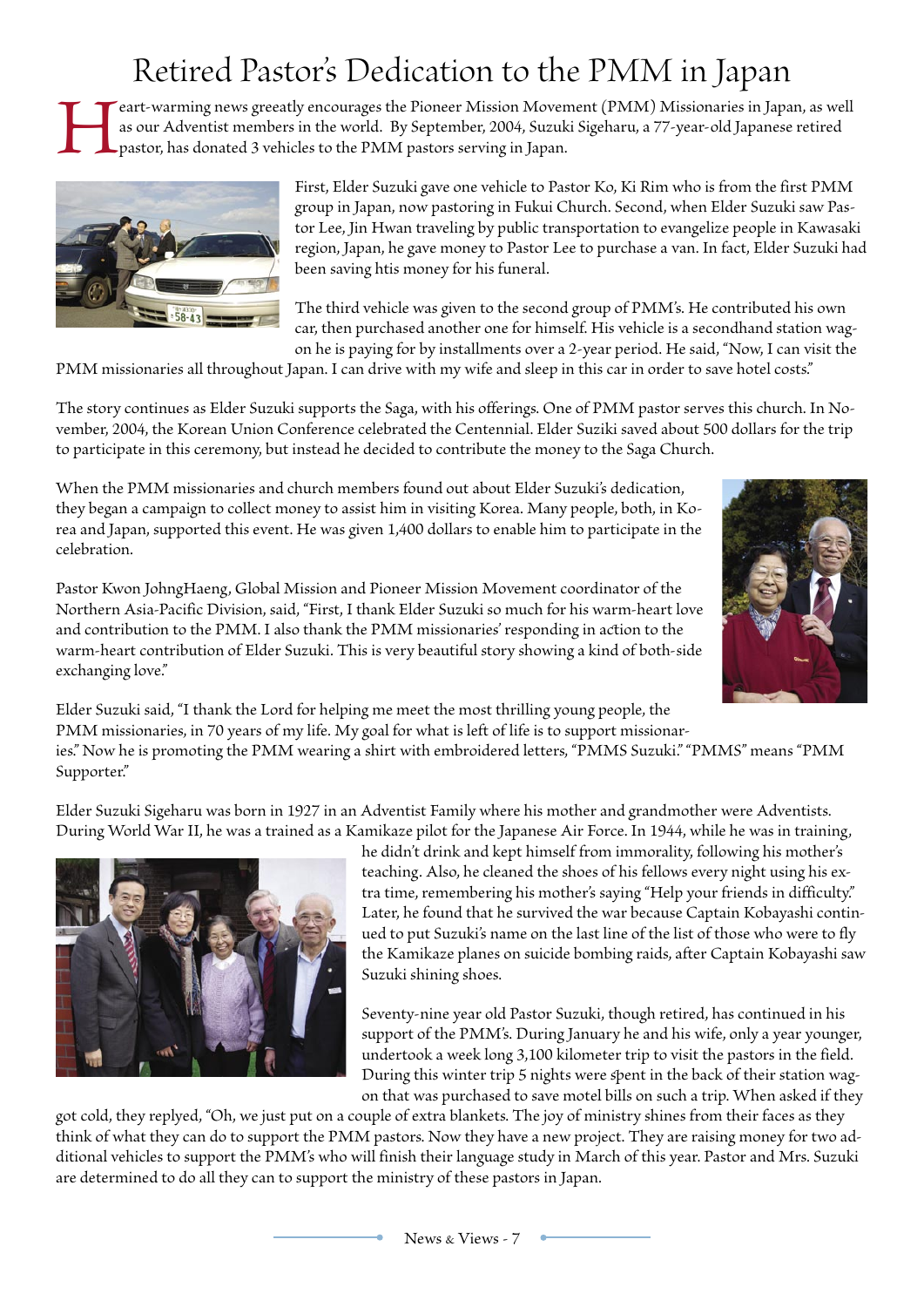## Retired Pastor's Dedication to the PMM in Japan

eart-warming news greeatly encourages the Pioneer Mission Movement (PMM) Missionaries in Japan, as well as our Adventist members in the world. By September, 2004, Suzuki Sigeharu, a 77-year-old Japanese retired pastor, has donated 3 vehicles to the PMM pastors serving in Japan.



First, Elder Suzuki gave one vehicle to Pastor Ko, Ki Rim who is from the first PMM group in Japan, now pastoring in Fukui Church. Second, when Elder Suzuki saw Pastor Lee, Jin Hwan traveling by pulic transportation to evangelize people in Kawasaki region, Japan, he gave money to Pastor Lee to purchase a van. In fact, Elder Suzuki had been saving htis money for his funeral.

The third vehicle was given to the second group of PMM's. He contributed his own car, then purchased another one for himself. His vehicle is a secondhand station wagon he is paying for by installments over a 2-year period. He said, "Now, I can visit the

PMM missionaries all throughout Japan. I can drive with my wife and sleep in this car in order to save hotel costs."

The story continues as Elder Suzuki supports the Saga, with his offerings. One of PMM pastor serves this church. In November, 2004, the Korean Union Conference celebrated the Centennial. Elder Suziki saved about 500 dollars for the trip to participate in this ceremony, but instead he decided to contribute the money to the Saga Church.

When the PMM missionaries and church members found out about Elder Suzuki's dedication, they began a campaign to collect money to assist him in visiting Korea. Many people, both, in Korea and Japan, supported this event. He was given 1,400 dollars to enale him to participate in the celebration.





Elder Suzuki said, "I thank the Lord for helping me meet the most thrilling young people, the PMM missionaries, in 70 years of my life. My goal for what is left of life is to support missionaries." Now he is promoting the PMM wearing a shirt with embroidered letters, "PMMS Suzuki." "PMMS" means "PMM Supporter."

Elder Suzuki Sigeharu was born in 1927 in an Adventist Family where his mother and grandmother were Adventists. During World War II, he was a trained as a Kamikaze pilot for the Japanese Air Force. In 1944, while he was in training,



he didn't drink and kept himself from immorality, following his mother's teaching. Also, he cleaned the shoes of his fellows every night using his extra time, remembering his mother's saying "Help your friends in difficulty." Later, he found that he survived the war because Captain Kobayashi continued to put Suzuki's name on the last line of the list of those who were to fly the Kamikaze planes on suicide bombing raids, after Captain Kobayashi saw Suzuki shining shoes.

Seventy-nine year old Pastor Suzuki, though retired, has continued in his support of the PMM's. During January he and his wife, only a year younger, undertook a week long 3,100 kilometer trip to visit the pastors in the field. During this winter trip 5 nights were spent in the back of their station wagon that was purchased to save motel bills on such a trip. When asked if they

got cold, they replyed, "Oh, we just put on a couple of extra lankets. The joy of ministry shines from their faces as they think of what they can do to support the PMM pastors. Now they have a new project. They are raising money for two additional vehicles to support the PMM's who will finish their language study in March of this year. Pastor and Mrs. Suzuki are determined to do all they can to support the ministry of these pastors in Japan.